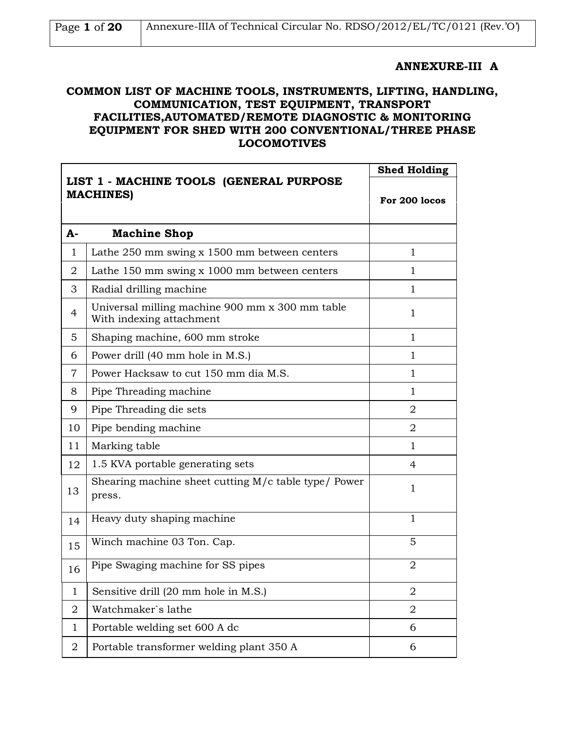| Page 1 of 20 | Annexure-IIIA of Technical Circular No. RDSO/2012/EL/TC/0121 (Rev.'O') |  |
|--------------|------------------------------------------------------------------------|--|
|              |                                                                        |  |

#### **ANNEXURE-III A**

### **COMMON LIST OF MACHINE TOOLS, INSTRUMENTS, LIFTING, HANDLING, COMMUNICATION, TEST EQUIPMENT, TRANSPORT FACILITIES,AUTOMATED/REMOTE DIAGNOSTIC & MONITORING EQUIPMENT FOR SHED WITH 200 CONVENTIONAL/THREE PHASE LOCOMOTIVES**

|                |                                                                             | <b>Shed Holding</b> |
|----------------|-----------------------------------------------------------------------------|---------------------|
|                | LIST 1 - MACHINE TOOLS (GENERAL PURPOSE<br><b>MACHINES)</b>                 | For 200 locos       |
| A-             | <b>Machine Shop</b>                                                         |                     |
| $\mathbf{1}$   | Lathe 250 mm swing x 1500 mm between centers                                | $\mathbf{1}$        |
| $\overline{2}$ | Lathe $150 \text{ mm}$ swing x $1000 \text{ mm}$ between centers            | 1                   |
| 3              | Radial drilling machine                                                     | 1                   |
| $\overline{4}$ | Universal milling machine 900 mm x 300 mm table<br>With indexing attachment | $\mathbf{1}$        |
| 5              | Shaping machine, 600 mm stroke                                              | $\mathbf{1}$        |
| 6              | Power drill (40 mm hole in M.S.)                                            | $\mathbf 1$         |
| $\overline{7}$ | Power Hacksaw to cut 150 mm dia M.S.                                        | $\mathbf{1}$        |
| 8              | Pipe Threading machine                                                      | 1                   |
| 9              | Pipe Threading die sets                                                     | $\overline{2}$      |
| 10             | Pipe bending machine                                                        | 2                   |
| 11             | Marking table                                                               | $\mathbf{1}$        |
| 12             | 1.5 KVA portable generating sets                                            | 4                   |
| 13             | Shearing machine sheet cutting M/c table type/ Power<br>press.              | 1                   |
| 14             | Heavy duty shaping machine                                                  | $\mathbf{1}$        |
| 15             | Winch machine 03 Ton. Cap.                                                  | 5                   |
| 16             | Pipe Swaging machine for SS pipes                                           | 2                   |
| 1              | Sensitive drill (20 mm hole in M.S.)                                        | $\overline{2}$      |
| 2              | Watchmaker's lathe                                                          | 2                   |
| $\mathbf{1}$   | Portable welding set 600 A dc                                               | 6                   |
| 2              | Portable transformer welding plant 350 A                                    | 6                   |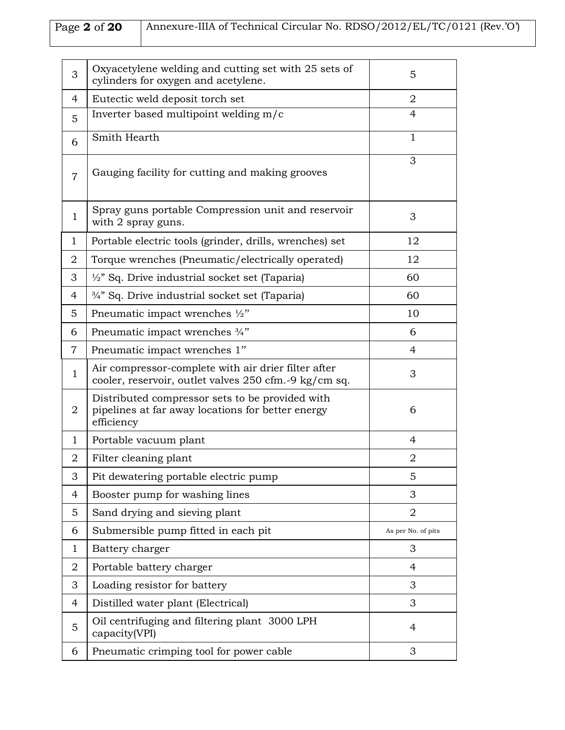# Page 2 of 20 Annexure-IIIA of Technical Circular No. RDSO/2012/EL/TC/0121 (Rev.'O')

| 3              | Oxyacetylene welding and cutting set with 25 sets of<br>cylinders for oxygen and acetylene.                        | 5                  |
|----------------|--------------------------------------------------------------------------------------------------------------------|--------------------|
| 4              | Eutectic weld deposit torch set                                                                                    | $\overline{2}$     |
| 5              | Inverter based multipoint welding m/c                                                                              | $\overline{4}$     |
| 6              | Smith Hearth                                                                                                       | $\mathbf{1}$       |
| $\overline{7}$ | Gauging facility for cutting and making grooves                                                                    | 3                  |
| $\mathbf{1}$   | Spray guns portable Compression unit and reservoir<br>with 2 spray guns.                                           | 3                  |
| 1              | Portable electric tools (grinder, drills, wrenches) set                                                            | 12                 |
| $\overline{2}$ | Torque wrenches (Pneumatic/electrically operated)                                                                  | 12                 |
| 3              | $\frac{1}{2}$ " Sq. Drive industrial socket set (Taparia)                                                          | 60                 |
| 4              | 3/4" Sq. Drive industrial socket set (Taparia)                                                                     | 60                 |
| 5              | Pneumatic impact wrenches 1/2"                                                                                     | 10                 |
| 6              | Pneumatic impact wrenches 3/4"                                                                                     | 6                  |
| $\overline{7}$ | Pneumatic impact wrenches 1"                                                                                       | 4                  |
| 1              | Air compressor-complete with air drier filter after<br>cooler, reservoir, outlet valves 250 cfm.-9 kg/cm sq.       | 3                  |
| $\overline{2}$ | Distributed compressor sets to be provided with<br>pipelines at far away locations for better energy<br>efficiency | 6                  |
| 1              | Portable vacuum plant                                                                                              | 4                  |
| 2              | Filter cleaning plant                                                                                              | 2                  |
| 3              | Pit dewatering portable electric pump                                                                              | 5                  |
| 4              | Booster pump for washing lines                                                                                     | 3                  |
| 5              | Sand drying and sieving plant                                                                                      | $\overline{2}$     |
| 6              | Submersible pump fitted in each pit                                                                                | As per No. of pits |
| $\mathbf{1}$   | Battery charger                                                                                                    | 3                  |
| 2              | Portable battery charger                                                                                           | 4                  |
| 3              | Loading resistor for battery                                                                                       | 3                  |
| 4              | Distilled water plant (Electrical)                                                                                 | 3                  |
| 5              | Oil centrifuging and filtering plant 3000 LPH<br>capacity(VPI)                                                     | 4                  |
| 6              | Pneumatic crimping tool for power cable                                                                            | 3                  |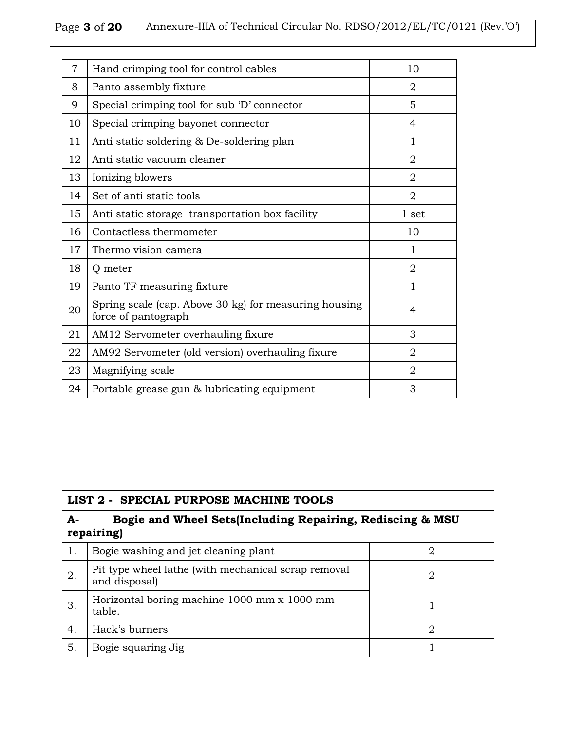# Page **3** of **20** Annexure-IIIA of Technical Circular No. RDSO/2012/EL/TC/0121 (Rev.'O')

| 7  | Hand crimping tool for control cables                                        | 10             |
|----|------------------------------------------------------------------------------|----------------|
| 8  | Panto assembly fixture                                                       | 2              |
| 9  | Special crimping tool for sub 'D' connector                                  | 5              |
| 10 | Special crimping bayonet connector                                           | 4              |
| 11 | Anti static soldering & De-soldering plan                                    | 1              |
| 12 | Anti static vacuum cleaner                                                   | $\overline{2}$ |
| 13 | Ionizing blowers                                                             | $\overline{2}$ |
| 14 | Set of anti static tools                                                     | $\overline{2}$ |
| 15 | Anti static storage transportation box facility                              | 1 set          |
| 16 | Contactless thermometer                                                      | 10             |
| 17 | Thermo vision camera                                                         | $\mathbf{1}$   |
| 18 | Q meter                                                                      | $\overline{2}$ |
| 19 | Panto TF measuring fixture                                                   | $\mathbf{1}$   |
| 20 | Spring scale (cap. Above 30 kg) for measuring housing<br>force of pantograph | 4              |
| 21 | AM12 Servometer overhauling fixure                                           | 3              |
| 22 | AM92 Servometer (old version) overhauling fixure                             | 2              |
| 23 | Magnifying scale                                                             | 2              |
| 24 | Portable grease gun & lubricating equipment                                  | 3              |

| LIST 2 - SPECIAL PURPOSE MACHINE TOOLS                                        |                                                                      |                             |
|-------------------------------------------------------------------------------|----------------------------------------------------------------------|-----------------------------|
| Bogie and Wheel Sets(Including Repairing, Rediscing & MSU<br>А-<br>repairing) |                                                                      |                             |
| 1.                                                                            | Bogie washing and jet cleaning plant                                 | 2                           |
| 2.                                                                            | Pit type wheel lathe (with mechanical scrap removal<br>and disposal) | 2                           |
| З.                                                                            | Horizontal boring machine 1000 mm x 1000 mm<br>table.                |                             |
| 4.                                                                            | Hack's burners                                                       | $\mathcal{D}_{\mathcal{L}}$ |
| 5.                                                                            | Bogie squaring Jig                                                   |                             |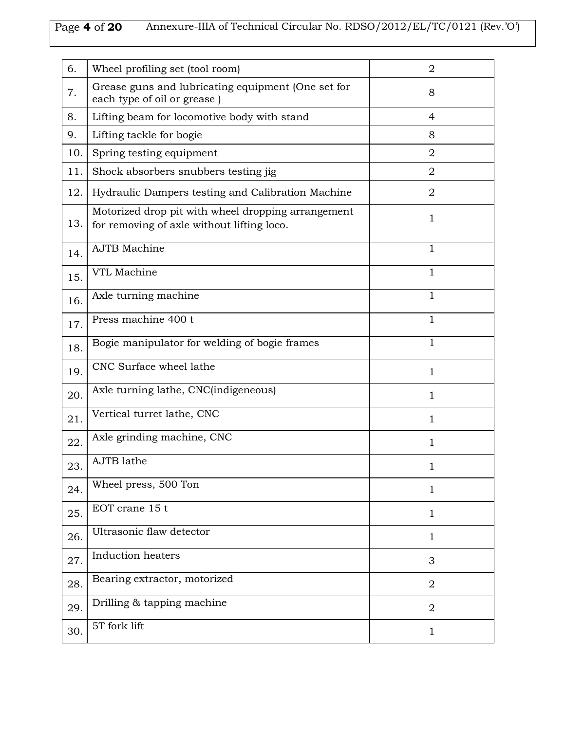# Page 4 of 20 Annexure-IIIA of Technical Circular No. RDSO/2012/EL/TC/0121 (Rev.'O')

| 6.  | Wheel profiling set (tool room)                                                                  | $\overline{2}$ |
|-----|--------------------------------------------------------------------------------------------------|----------------|
| 7.  | Grease guns and lubricating equipment (One set for<br>each type of oil or grease)                | 8              |
| 8.  | Lifting beam for locomotive body with stand                                                      | $\overline{4}$ |
| 9.  | Lifting tackle for bogie                                                                         | 8              |
| 10. | Spring testing equipment                                                                         | $\overline{2}$ |
| 11. | Shock absorbers snubbers testing jig                                                             | $\overline{2}$ |
| 12. | Hydraulic Dampers testing and Calibration Machine                                                | $\overline{2}$ |
| 13. | Motorized drop pit with wheel dropping arrangement<br>for removing of axle without lifting loco. | 1              |
| 14. | <b>AJTB</b> Machine                                                                              | 1              |
| 15. | VTL Machine                                                                                      | 1              |
| 16. | Axle turning machine                                                                             | 1              |
| 17. | Press machine 400 t                                                                              | $\mathbf{1}$   |
| 18. | Bogie manipulator for welding of bogie frames                                                    | $\mathbf{1}$   |
| 19. | CNC Surface wheel lathe                                                                          | 1              |
| 20. | Axle turning lathe, CNC(indigeneous)                                                             | 1              |
| 21. | Vertical turret lathe, CNC                                                                       | $\mathbf 1$    |
| 22. | Axle grinding machine, CNC                                                                       | 1              |
| 23. | AJTB lathe                                                                                       | 1              |
| 24. | Wheel press, 500 Ton                                                                             | 1              |
| 25. | EOT crane 15 t                                                                                   | $\mathbf{1}$   |
| 26. | Ultrasonic flaw detector                                                                         | 1              |
| 27. | Induction heaters                                                                                | 3              |
| 28. | Bearing extractor, motorized                                                                     | 2              |
| 29. | Drilling & tapping machine                                                                       | $\overline{2}$ |
| 30. | 5T fork lift                                                                                     | $\mathbf{1}$   |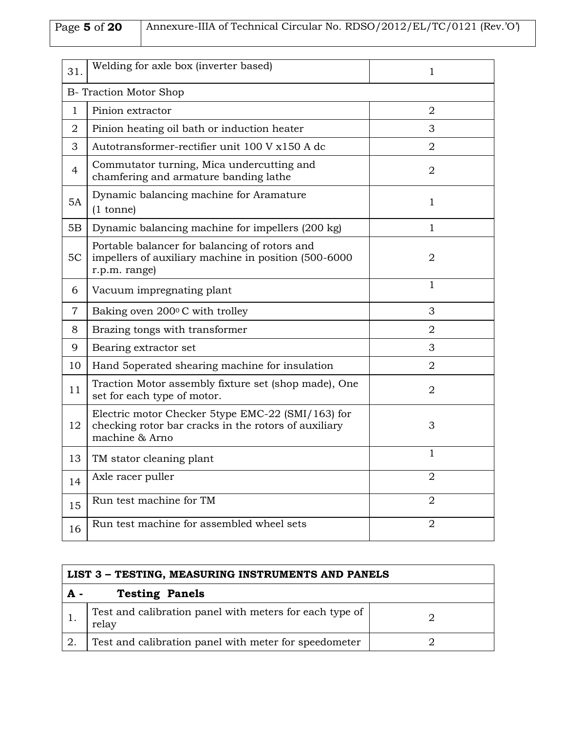Page **5** of **20** Annexure-IIIA of Technical Circular No. RDSO/2012/EL/TC/0121 (Rev.'O')

| 31.                           | Welding for axle box (inverter based)                                                                                       | 1              |
|-------------------------------|-----------------------------------------------------------------------------------------------------------------------------|----------------|
| <b>B- Traction Motor Shop</b> |                                                                                                                             |                |
| $\mathbf{1}$                  | Pinion extractor                                                                                                            | $\overline{2}$ |
| 2                             | Pinion heating oil bath or induction heater                                                                                 | 3              |
| 3                             | Autotransformer-rectifier unit 100 V x150 A dc                                                                              | $\overline{2}$ |
| $\overline{4}$                | Commutator turning, Mica undercutting and<br>chamfering and armature banding lathe                                          | $\overline{2}$ |
| 5A                            | Dynamic balancing machine for Aramature<br>$(1 \text{ tonne})$                                                              | 1              |
| 5B                            | Dynamic balancing machine for impellers (200 kg)                                                                            | 1              |
| 5C                            | Portable balancer for balancing of rotors and<br>impellers of auxiliary machine in position (500-6000<br>r.p.m. range)      | $\overline{2}$ |
| 6                             | Vacuum impregnating plant                                                                                                   | $\mathbf{1}$   |
| $\tau$                        | Baking oven 200°C with trolley                                                                                              | 3              |
| 8                             | Brazing tongs with transformer                                                                                              | $\overline{2}$ |
| 9                             | Bearing extractor set                                                                                                       | 3              |
| 10                            | Hand 5 operated shearing machine for insulation                                                                             | $\overline{2}$ |
| 11                            | Traction Motor assembly fixture set (shop made), One<br>set for each type of motor.                                         | $\overline{2}$ |
| 12                            | Electric motor Checker 5type EMC-22 (SMI/163) for<br>checking rotor bar cracks in the rotors of auxiliary<br>machine & Arno | 3              |
| 13                            | TM stator cleaning plant                                                                                                    | 1              |
| 14                            | Axle racer puller                                                                                                           | $\overline{2}$ |
| 15                            | Run test machine for TM                                                                                                     | $\overline{2}$ |
| 16                            | Run test machine for assembled wheel sets                                                                                   | $\overline{2}$ |

| LIST 3 – TESTING, MEASURING INSTRUMENTS AND PANELS |                                                                  |  |
|----------------------------------------------------|------------------------------------------------------------------|--|
| $\mathbf{A}$ -                                     | <b>Testing Panels</b>                                            |  |
|                                                    | Test and calibration panel with meters for each type of<br>relay |  |
|                                                    | Test and calibration panel with meter for speedometer            |  |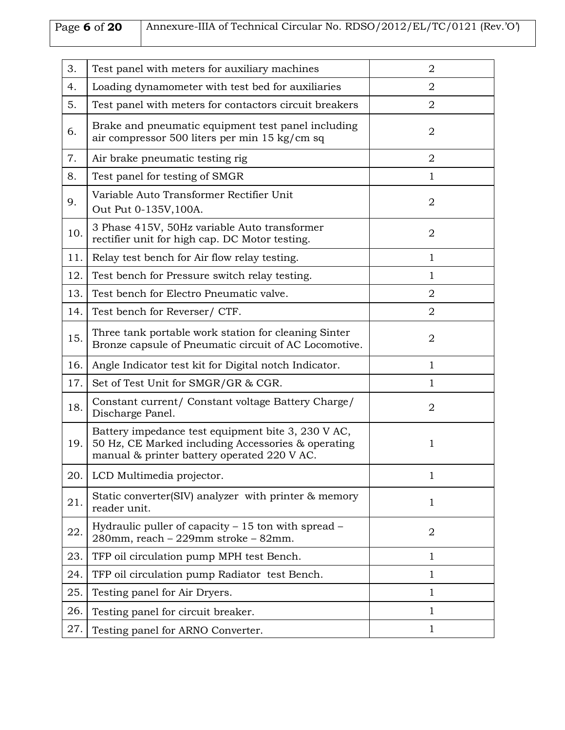# Page 6 of 20 Annexure-IIIA of Technical Circular No. RDSO/2012/EL/TC/0121 (Rev.'O')

| 3.  | Test panel with meters for auxiliary machines                                                                                                           | $\overline{2}$ |
|-----|---------------------------------------------------------------------------------------------------------------------------------------------------------|----------------|
| 4.  | Loading dynamometer with test bed for auxiliaries                                                                                                       | $\overline{2}$ |
| 5.  | Test panel with meters for contactors circuit breakers                                                                                                  | $\overline{2}$ |
| 6.  | Brake and pneumatic equipment test panel including<br>air compressor 500 liters per min 15 kg/cm sq                                                     | 2              |
| 7.  | Air brake pneumatic testing rig                                                                                                                         | $\overline{2}$ |
| 8.  | Test panel for testing of SMGR                                                                                                                          | $\mathbf{1}$   |
| 9.  | Variable Auto Transformer Rectifier Unit<br>Out Put 0-135V, 100A.                                                                                       | $\overline{2}$ |
| 10. | 3 Phase 415V, 50Hz variable Auto transformer<br>rectifier unit for high cap. DC Motor testing.                                                          | $\overline{2}$ |
| 11. | Relay test bench for Air flow relay testing.                                                                                                            | 1              |
| 12. | Test bench for Pressure switch relay testing.                                                                                                           | 1              |
| 13. | Test bench for Electro Pneumatic valve.                                                                                                                 | $\overline{2}$ |
| 14. | Test bench for Reverser/ CTF.                                                                                                                           | $\overline{2}$ |
| 15. | Three tank portable work station for cleaning Sinter<br>Bronze capsule of Pneumatic circuit of AC Locomotive.                                           | $\overline{2}$ |
| 16. | Angle Indicator test kit for Digital notch Indicator.                                                                                                   | $\mathbf{1}$   |
| 17. | Set of Test Unit for SMGR/GR & CGR.                                                                                                                     | 1              |
| 18. | Constant current/ Constant voltage Battery Charge/<br>Discharge Panel.                                                                                  | $\overline{2}$ |
| 19. | Battery impedance test equipment bite 3, 230 V AC,<br>50 Hz, CE Marked including Accessories & operating<br>manual & printer battery operated 220 V AC. | 1              |
| 20. | LCD Multimedia projector.                                                                                                                               | $\mathbf{1}$   |
| 21. | Static converter(SIV) analyzer with printer & memory<br>reader unit.                                                                                    | 1              |
| 22. | Hydraulic puller of capacity - 15 ton with spread -<br>280mm, reach - 229mm stroke - 82mm.                                                              | $\overline{2}$ |
| 23. | TFP oil circulation pump MPH test Bench.                                                                                                                | 1              |
| 24. | TFP oil circulation pump Radiator test Bench.                                                                                                           | 1              |
| 25. | Testing panel for Air Dryers.                                                                                                                           | 1              |
| 26. | Testing panel for circuit breaker.                                                                                                                      | 1              |
| 27. | Testing panel for ARNO Converter.                                                                                                                       | 1              |
|     |                                                                                                                                                         |                |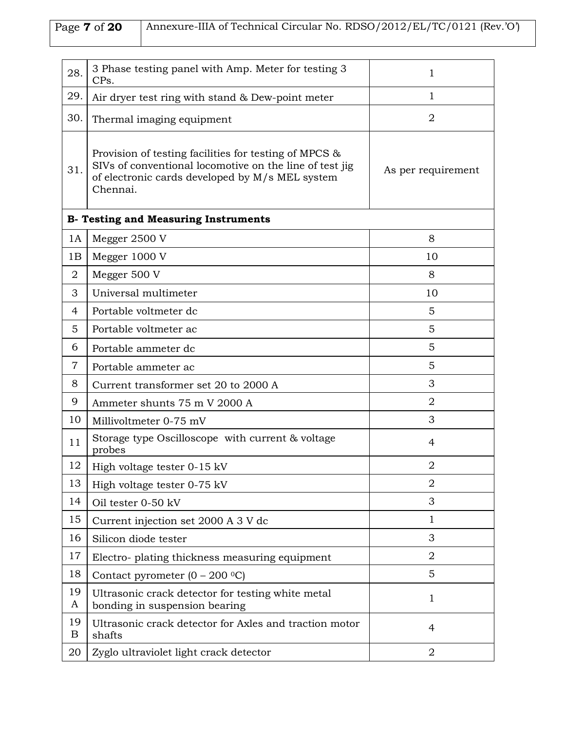| Page <b>7</b> of <b>20</b> | Annexure-IIIA of Technical Circular No. RDSO/2012/EL/TC/0121 (Rev.'O') |
|----------------------------|------------------------------------------------------------------------|
|                            |                                                                        |

| 28.            | 3 Phase testing panel with Amp. Meter for testing 3<br>CPs.                                                                                                                     | $\mathbf{1}$       |
|----------------|---------------------------------------------------------------------------------------------------------------------------------------------------------------------------------|--------------------|
| 29.            | Air dryer test ring with stand & Dew-point meter                                                                                                                                | $\mathbf 1$        |
| 30.            | Thermal imaging equipment                                                                                                                                                       | $\overline{2}$     |
| 31.            | Provision of testing facilities for testing of MPCS &<br>SIVs of conventional locomotive on the line of test jig<br>of electronic cards developed by M/s MEL system<br>Chennai. | As per requirement |
|                | <b>B- Testing and Measuring Instruments</b>                                                                                                                                     |                    |
| 1A             | Megger 2500 V                                                                                                                                                                   | 8                  |
| 1B             | Megger 1000 V                                                                                                                                                                   | 10                 |
| $\overline{2}$ | Megger 500 V                                                                                                                                                                    | 8                  |
| 3              | Universal multimeter                                                                                                                                                            | 10                 |
| 4              | Portable voltmeter dc                                                                                                                                                           | 5                  |
| 5              | Portable voltmeter ac                                                                                                                                                           | 5                  |
| 6              | Portable ammeter dc                                                                                                                                                             | 5                  |
| $\overline{7}$ | Portable ammeter ac                                                                                                                                                             | 5                  |
| 8              | Current transformer set 20 to 2000 A                                                                                                                                            | 3                  |
| 9              | Ammeter shunts 75 m V 2000 A                                                                                                                                                    | $\overline{2}$     |
| 10             | Millivoltmeter 0-75 mV                                                                                                                                                          | 3                  |
| 11             | Storage type Oscilloscope with current & voltage<br>probes                                                                                                                      | 4                  |
| 12             | High voltage tester 0-15 kV                                                                                                                                                     | $\overline{2}$     |
| 13             | High voltage tester 0-75 kV                                                                                                                                                     | $\overline{2}$     |
| 14             | Oil tester 0-50 kV                                                                                                                                                              | 3                  |
| 15             | Current injection set 2000 A 3 V dc                                                                                                                                             | 1                  |
| 16             | Silicon diode tester                                                                                                                                                            | 3                  |
| 17             | Electro- plating thickness measuring equipment                                                                                                                                  | $\overline{2}$     |
| 18             | Contact pyrometer $(0 - 200 \degree C)$                                                                                                                                         | 5                  |
| 19<br>A        | Ultrasonic crack detector for testing white metal<br>bonding in suspension bearing                                                                                              | $\mathbf{1}$       |
| 19<br>B        | Ultrasonic crack detector for Axles and traction motor<br>shafts                                                                                                                | 4                  |
| 20             | Zyglo ultraviolet light crack detector                                                                                                                                          | $\overline{2}$     |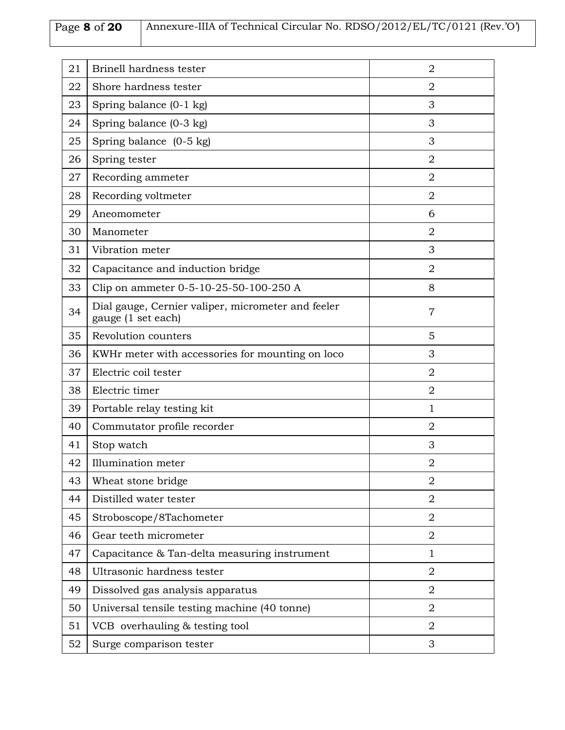# Page 8 of 20 Annexure-IIIA of Technical Circular No. RDSO/2012/EL/TC/0121 (Rev.'O')

| 21 | Brinell hardness tester                                                  | $\overline{2}$ |
|----|--------------------------------------------------------------------------|----------------|
| 22 | Shore hardness tester                                                    | $\overline{2}$ |
| 23 | Spring balance (0-1 kg)                                                  | 3              |
| 24 | Spring balance (0-3 kg)                                                  | 3              |
| 25 | Spring balance (0-5 kg)                                                  | 3              |
| 26 | Spring tester                                                            | $\overline{2}$ |
| 27 | Recording ammeter                                                        | $\overline{2}$ |
| 28 | Recording voltmeter                                                      | $\overline{2}$ |
| 29 | Aneomometer                                                              | 6              |
| 30 | Manometer                                                                | $\overline{2}$ |
| 31 | Vibration meter                                                          | 3              |
| 32 | Capacitance and induction bridge                                         | $\overline{2}$ |
| 33 | Clip on ammeter 0-5-10-25-50-100-250 A                                   | 8              |
| 34 | Dial gauge, Cernier valiper, micrometer and feeler<br>gauge (1 set each) | $\overline{7}$ |
| 35 | Revolution counters                                                      | 5              |
| 36 | KWHr meter with accessories for mounting on loco                         | 3              |
| 37 | Electric coil tester                                                     | $\overline{2}$ |
| 38 | Electric timer                                                           | $\overline{2}$ |
| 39 | Portable relay testing kit                                               | $\mathbf{1}$   |
| 40 | Commutator profile recorder                                              | $\overline{2}$ |
| 41 | Stop watch                                                               | 3              |
| 42 | Illumination meter                                                       | $\overline{2}$ |
| 43 | Wheat stone bridge                                                       | $\overline{2}$ |
| 44 | Distilled water tester                                                   | $\overline{2}$ |
| 45 | Stroboscope/8Tachometer                                                  | $\overline{2}$ |
| 46 | Gear teeth micrometer                                                    | $\overline{2}$ |
| 47 | Capacitance & Tan-delta measuring instrument                             | $\mathbf{1}$   |
| 48 | Ultrasonic hardness tester                                               | $\overline{2}$ |
| 49 | Dissolved gas analysis apparatus                                         | $\overline{2}$ |
| 50 | Universal tensile testing machine (40 tonne)                             | 2              |
| 51 | VCB overhauling & testing tool                                           | $\overline{2}$ |
| 52 | Surge comparison tester                                                  | 3              |
|    |                                                                          |                |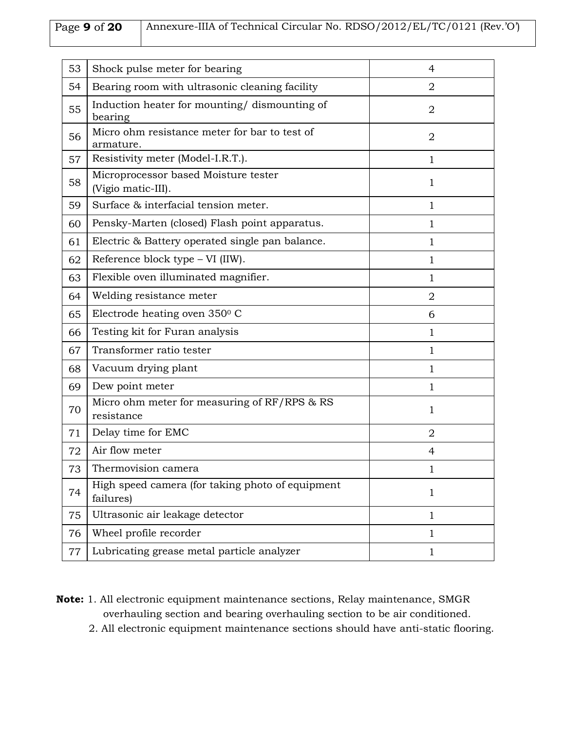## Page **9** of **20** Annexure-IIIA of Technical Circular No. RDSO/2012/EL/TC/0121 (Rev.'O')

| 53 | Shock pulse meter for bearing                                 | 4              |
|----|---------------------------------------------------------------|----------------|
| 54 | Bearing room with ultrasonic cleaning facility                | $\overline{2}$ |
| 55 | Induction heater for mounting/ dismounting of<br>bearing      | $\overline{2}$ |
| 56 | Micro ohm resistance meter for bar to test of<br>armature.    | $\overline{2}$ |
| 57 | Resistivity meter (Model-I.R.T.).                             | $\mathbf{1}$   |
| 58 | Microprocessor based Moisture tester<br>(Vigio matic-III).    | $\mathbf{1}$   |
| 59 | Surface & interfacial tension meter.                          | $\mathbf{1}$   |
| 60 | Pensky-Marten (closed) Flash point apparatus.                 | 1              |
| 61 | Electric & Battery operated single pan balance.               | $\mathbf{1}$   |
| 62 | Reference block type - VI (IIW).                              | 1              |
| 63 | Flexible oven illuminated magnifier.                          | $\mathbf{1}$   |
| 64 | Welding resistance meter                                      | $\overline{2}$ |
| 65 | Electrode heating oven 350°C                                  | 6              |
| 66 | Testing kit for Furan analysis                                | $\mathbf{1}$   |
| 67 | Transformer ratio tester                                      | 1              |
| 68 | Vacuum drying plant                                           | 1              |
| 69 | Dew point meter                                               | $\mathbf{1}$   |
| 70 | Micro ohm meter for measuring of RF/RPS & RS<br>resistance    | $\mathbf{1}$   |
| 71 | Delay time for EMC                                            | $\overline{2}$ |
| 72 | Air flow meter                                                | 4              |
| 73 | Thermovision camera                                           | 1              |
| 74 | High speed camera (for taking photo of equipment<br>failures) | $\mathbf{1}$   |
| 75 | Ultrasonic air leakage detector                               | $\mathbf{1}$   |
| 76 | Wheel profile recorder                                        | $\mathbf{1}$   |
| 77 | Lubricating grease metal particle analyzer                    | $\mathbf{1}$   |

- **Note:** 1. All electronic equipment maintenance sections, Relay maintenance, SMGR overhauling section and bearing overhauling section to be air conditioned.
	- 2. All electronic equipment maintenance sections should have anti-static flooring.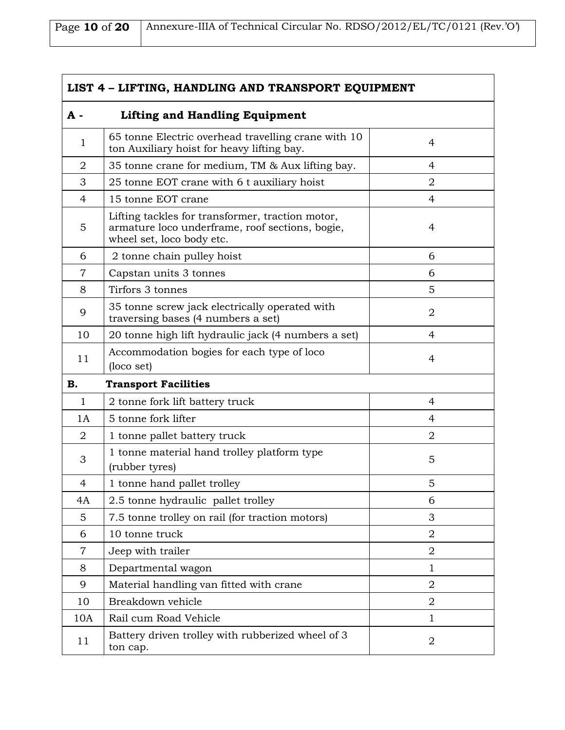| Page 10 of 20   Annexure-IIIA of Technical Circular No. RDSO/2012/EL/TC/0121 (Rev.'O') |
|----------------------------------------------------------------------------------------|
|                                                                                        |

| LIST 4 - LIFTING, HANDLING AND TRANSPORT EQUIPMENT |                                                                                                                                  |                |
|----------------------------------------------------|----------------------------------------------------------------------------------------------------------------------------------|----------------|
| A -                                                | <b>Lifting and Handling Equipment</b>                                                                                            |                |
| $\mathbf 1$                                        | 65 tonne Electric overhead travelling crane with 10<br>ton Auxiliary hoist for heavy lifting bay.                                | 4              |
| $\overline{2}$                                     | 35 tonne crane for medium, TM & Aux lifting bay.                                                                                 | 4              |
| 3                                                  | 25 tonne EOT crane with 6 t auxiliary hoist                                                                                      | $\overline{2}$ |
| $\overline{4}$                                     | 15 tonne EOT crane                                                                                                               | 4              |
| 5                                                  | Lifting tackles for transformer, traction motor,<br>armature loco underframe, roof sections, bogie,<br>wheel set, loco body etc. | 4              |
| 6                                                  | 2 tonne chain pulley hoist                                                                                                       | 6              |
| $\overline{7}$                                     | Capstan units 3 tonnes                                                                                                           | 6              |
| 8                                                  | Tirfors 3 tonnes                                                                                                                 | 5              |
| 9                                                  | 35 tonne screw jack electrically operated with<br>traversing bases (4 numbers a set)                                             | $\overline{2}$ |
| 10                                                 | 20 tonne high lift hydraulic jack (4 numbers a set)                                                                              | 4              |
| 11                                                 | Accommodation bogies for each type of loco<br>(loco set)                                                                         | 4              |
| <b>B.</b>                                          | <b>Transport Facilities</b>                                                                                                      |                |
| $\mathbf{1}$                                       | 2 tonne fork lift battery truck                                                                                                  | 4              |
| 1A                                                 | 5 tonne fork lifter                                                                                                              | 4              |
| $\overline{2}$                                     | 1 tonne pallet battery truck                                                                                                     | $\overline{2}$ |
| 3                                                  | 1 tonne material hand trolley platform type<br>(rubber tyres)                                                                    | 5              |
| $\overline{4}$                                     | 1 tonne hand pallet trolley                                                                                                      | 5              |
| 4A                                                 | 2.5 tonne hydraulic pallet trolley                                                                                               | 6              |
| 5                                                  | 7.5 tonne trolley on rail (for traction motors)                                                                                  | 3              |
| 6                                                  | 10 tonne truck                                                                                                                   | $\overline{2}$ |
| 7                                                  | Jeep with trailer                                                                                                                | $\overline{2}$ |
| 8                                                  | Departmental wagon                                                                                                               | 1              |
| 9                                                  | Material handling van fitted with crane                                                                                          | $\overline{2}$ |
| 10                                                 | Breakdown vehicle                                                                                                                | $\overline{2}$ |
| 10A                                                | Rail cum Road Vehicle                                                                                                            | $\mathbf 1$    |
| 11                                                 | Battery driven trolley with rubberized wheel of 3<br>ton cap.                                                                    | $\overline{2}$ |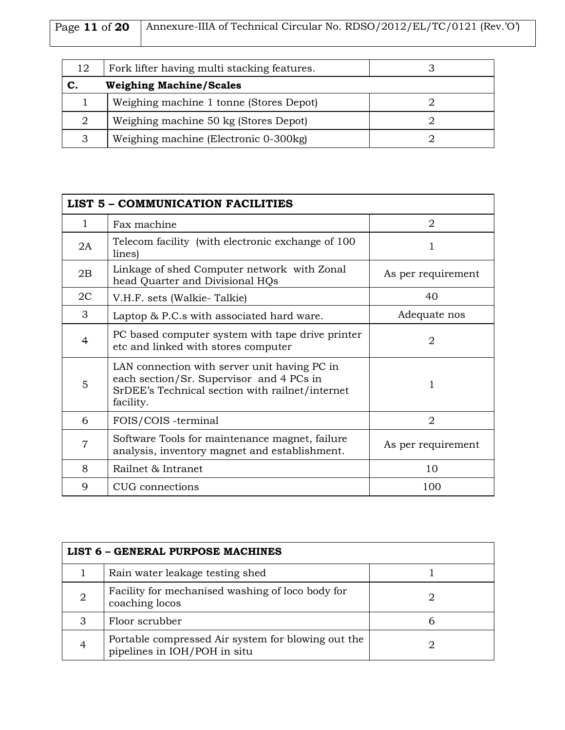| Page 11 of 20   Annexure-IIIA of Technical Circular No. RDSO/2012/EL/TC/0121 (Rev.'O') |
|----------------------------------------------------------------------------------------|
|                                                                                        |

| 12 | Fork lifter having multi stacking features. |  |
|----|---------------------------------------------|--|
| С. | <b>Weighing Machine/Scales</b>              |  |
|    | Weighing machine 1 tonne (Stores Depot)     |  |
|    | Weighing machine 50 kg (Stores Depot)       |  |
|    | Weighing machine (Electronic 0-300kg)       |  |

| <b>LIST 5 - COMMUNICATION FACILITIES</b> |                                                                                                                                                          |                    |
|------------------------------------------|----------------------------------------------------------------------------------------------------------------------------------------------------------|--------------------|
| $\mathbf{1}$                             | Fax machine                                                                                                                                              | $\overline{2}$     |
| 2A                                       | Telecom facility (with electronic exchange of 100)<br>lines)                                                                                             |                    |
| 2B                                       | Linkage of shed Computer network with Zonal<br>head Quarter and Divisional HQs                                                                           | As per requirement |
| 2C                                       | V.H.F. sets (Walkie-Talkie)                                                                                                                              | 40                 |
| 3                                        | Laptop & P.C.s with associated hard ware.                                                                                                                | Adequate nos       |
| 4                                        | PC based computer system with tape drive printer<br>etc and linked with stores computer                                                                  | $\overline{2}$     |
| 5                                        | LAN connection with server unit having PC in<br>each section/Sr. Supervisor and 4 PCs in<br>SrDEE's Technical section with railnet/internet<br>facility. |                    |
| 6                                        | FOIS/COIS -terminal                                                                                                                                      | $\overline{2}$     |
| $\overline{7}$                           | Software Tools for maintenance magnet, failure<br>analysis, inventory magnet and establishment.                                                          | As per requirement |
| 8                                        | Railnet & Intranet                                                                                                                                       | 10                 |
| 9                                        | CUG connections                                                                                                                                          | 100                |

| <b>LIST 6 - GENERAL PURPOSE MACHINES</b> |                                                                                    |   |
|------------------------------------------|------------------------------------------------------------------------------------|---|
|                                          | Rain water leakage testing shed                                                    |   |
| 2                                        | Facility for mechanised washing of loco body for<br>coaching locos                 |   |
| З                                        | Floor scrubber                                                                     | h |
| 4                                        | Portable compressed Air system for blowing out the<br>pipelines in IOH/POH in situ |   |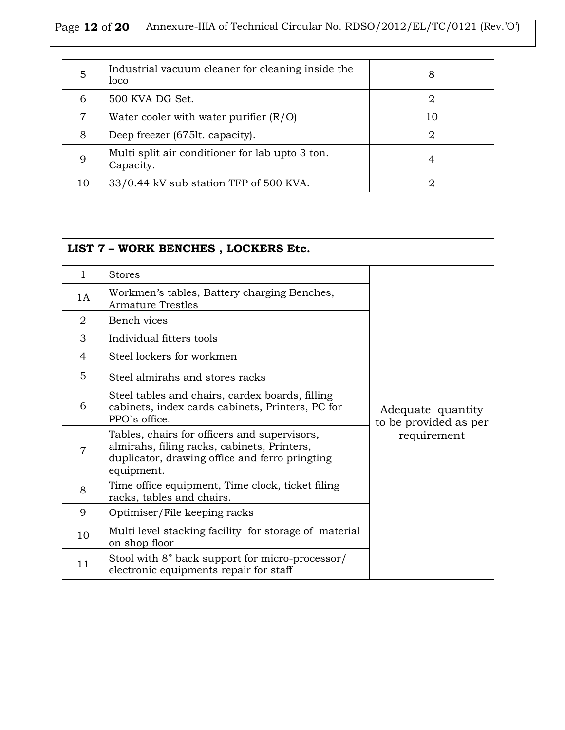| Page 12 of 20   Annexure-IIIA of Technical Circular No. RDSO/2012/EL/TC/0121 (Rev.'O') |
|----------------------------------------------------------------------------------------|
|                                                                                        |

| 5  | Industrial vacuum cleaner for cleaning inside the<br>loco    |    |
|----|--------------------------------------------------------------|----|
| 6  | 500 KVA DG Set.                                              |    |
| 7  | Water cooler with water purifier $(R/O)$                     | 10 |
| 8  | Deep freezer (675lt. capacity).                              | 2  |
| 9  | Multi split air conditioner for lab upto 3 ton.<br>Capacity. |    |
| 10 | 33/0.44 kV sub station TFP of 500 KVA.                       |    |

|                | LIST 7 - WORK BENCHES, LOCKERS Etc.                                                                                                                         |                                            |
|----------------|-------------------------------------------------------------------------------------------------------------------------------------------------------------|--------------------------------------------|
| $\mathbf{1}$   | <b>Stores</b>                                                                                                                                               |                                            |
| 1A             | Workmen's tables, Battery charging Benches,<br><b>Armature Trestles</b>                                                                                     |                                            |
| $\overline{2}$ | Bench vices                                                                                                                                                 |                                            |
| 3              | Individual fitters tools                                                                                                                                    |                                            |
| 4              | Steel lockers for workmen                                                                                                                                   |                                            |
| 5              | Steel almirahs and stores racks                                                                                                                             |                                            |
| 6              | Steel tables and chairs, cardex boards, filling<br>cabinets, index cards cabinets, Printers, PC for<br>PPO's office.                                        | Adequate quantity<br>to be provided as per |
| $\overline{7}$ | Tables, chairs for officers and supervisors,<br>almirahs, filing racks, cabinets, Printers,<br>duplicator, drawing office and ferro pringting<br>equipment. | requirement                                |
| 8              | Time office equipment, Time clock, ticket filing<br>racks, tables and chairs.                                                                               |                                            |
| 9              | Optimiser/File keeping racks                                                                                                                                |                                            |
| 10             | Multi level stacking facility for storage of material<br>on shop floor                                                                                      |                                            |
| 11             | Stool with 8" back support for micro-processor/<br>electronic equipments repair for staff                                                                   |                                            |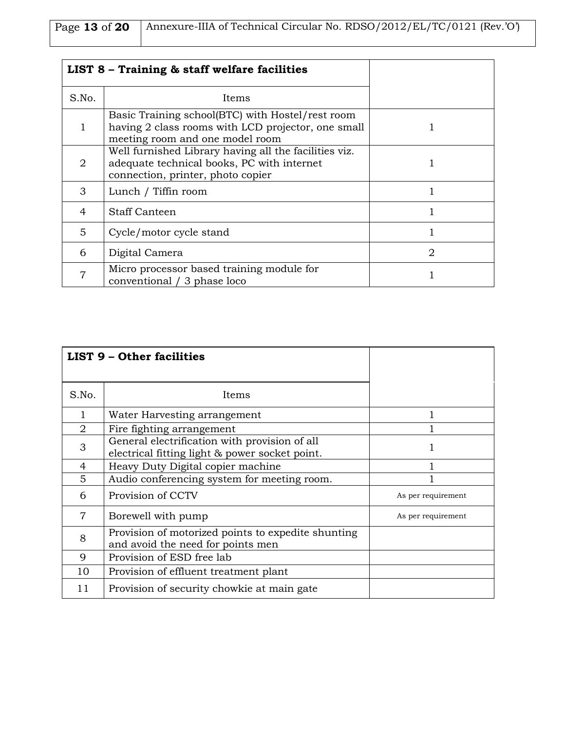| Page 13 of 20   Annexure-IIIA of Technical Circular No. RDSO/2012/EL/TC/0121 (Rev.'O') |
|----------------------------------------------------------------------------------------|
|                                                                                        |

| LIST 8 - Training & staff welfare facilities |                                                                                                                                           |                         |
|----------------------------------------------|-------------------------------------------------------------------------------------------------------------------------------------------|-------------------------|
| S.No.                                        | Items                                                                                                                                     |                         |
|                                              | Basic Training school(BTC) with Hostel/rest room<br>having 2 class rooms with LCD projector, one small<br>meeting room and one model room |                         |
| 2                                            | Well furnished Library having all the facilities viz.<br>adequate technical books, PC with internet<br>connection, printer, photo copier  |                         |
| 3                                            | Lunch / Tiffin room                                                                                                                       |                         |
| 4                                            | Staff Canteen                                                                                                                             |                         |
| 5                                            | Cycle/motor cycle stand                                                                                                                   |                         |
| 6                                            | Digital Camera                                                                                                                            | $\mathcal{D}_{1}^{(1)}$ |
| 7                                            | Micro processor based training module for<br>conventional / 3 phase loco                                                                  |                         |

|                | <b>LIST 9 - Other facilities</b>                                                                |                    |
|----------------|-------------------------------------------------------------------------------------------------|--------------------|
| S.No.          | Items                                                                                           |                    |
| 1              | Water Harvesting arrangement                                                                    |                    |
| $\overline{2}$ | Fire fighting arrangement                                                                       |                    |
| 3              | General electrification with provision of all<br>electrical fitting light & power socket point. |                    |
| 4              | Heavy Duty Digital copier machine                                                               |                    |
| 5              | Audio conferencing system for meeting room.                                                     |                    |
| 6              | Provision of CCTV                                                                               | As per requirement |
| 7              | Borewell with pump                                                                              | As per requirement |
| 8              | Provision of motorized points to expedite shunting<br>and avoid the need for points men         |                    |
| 9              | Provision of ESD free lab                                                                       |                    |
| 10             | Provision of effluent treatment plant                                                           |                    |
| 11             | Provision of security chowkie at main gate                                                      |                    |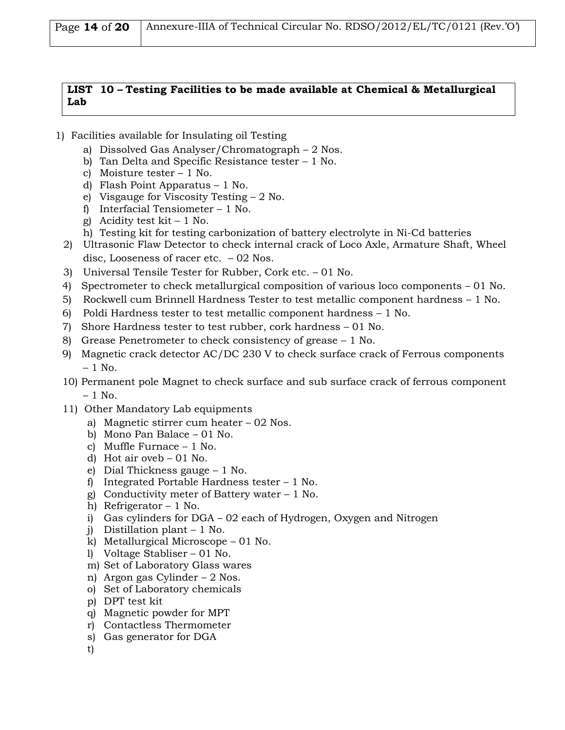| Page $14$ of $20$   Annexure-IIIA of Technical Circular No. RDSO/2012/EL/TC/0121 (Rev.'O') |  |
|--------------------------------------------------------------------------------------------|--|
|--------------------------------------------------------------------------------------------|--|

#### **LIST 10 – Testing Facilities to be made available at Chemical & Metallurgical Lab**

- 1) Facilities available for Insulating oil Testing
	- a) Dissolved Gas Analyser/Chromatograph 2 Nos.
	- b) Tan Delta and Specific Resistance tester 1 No.
	- c) Moisture tester 1 No.
	- d) Flash Point Apparatus 1 No.
	- e) Visgauge for Viscosity Testing 2 No.
	- f) Interfacial Tensiometer 1 No.
	- g) Acidity test  $kit 1$  No.
	- h) Testing kit for testing carbonization of battery electrolyte in Ni-Cd batteries
	- 2) Ultrasonic Flaw Detector to check internal crack of Loco Axle, Armature Shaft, Wheel disc, Looseness of racer etc. – 02 Nos.
	- 3) Universal Tensile Tester for Rubber, Cork etc. 01 No.
	- 4) Spectrometer to check metallurgical composition of various loco components 01 No.
	- 5) Rockwell cum Brinnell Hardness Tester to test metallic component hardness 1 No.
	- 6) Poldi Hardness tester to test metallic component hardness  $-1$  No.
	- 7) Shore Hardness tester to test rubber, cork hardness 01 No.
	- 8) Grease Penetrometer to check consistency of grease 1 No.
	- 9) Magnetic crack detector AC/DC 230 V to check surface crack of Ferrous components  $-1$  No.
	- 10) Permanent pole Magnet to check surface and sub surface crack of ferrous component  $-1$  No.
	- 11) Other Mandatory Lab equipments
		- a) Magnetic stirrer cum heater 02 Nos.
		- b) Mono Pan Balace 01 No.
		- c) Muffle Furnace 1 No.
		- d) Hot air oveb 01 No.
		- e) Dial Thickness gauge 1 No.
		- f) Integrated Portable Hardness tester 1 No.
		- g) Conductivity meter of Battery water 1 No.
		- h) Refrigerator 1 No.
		- i) Gas cylinders for DGA 02 each of Hydrogen, Oxygen and Nitrogen
		- j) Distillation plant 1 No.
		- k) Metallurgical Microscope 01 No.
		- l) Voltage Stabliser 01 No.
		- m) Set of Laboratory Glass wares
		- n) Argon gas Cylinder 2 Nos.
		- o) Set of Laboratory chemicals
		- p) DPT test kit
		- q) Magnetic powder for MPT
		- r) Contactless Thermometer
		- s) Gas generator for DGA
		- t)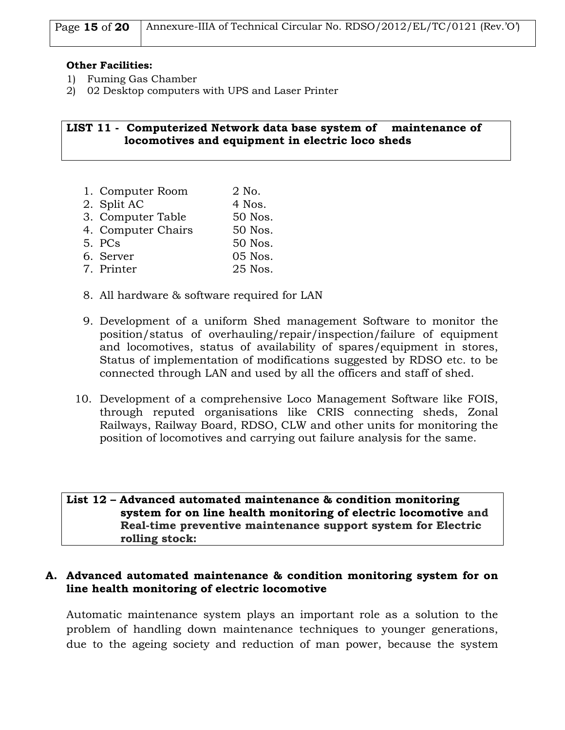| Page 15 of 20   Annexure-IIIA of Technical Circular No. RDSO/2012/EL/TC/0121 (Rev.'O') |  |
|----------------------------------------------------------------------------------------|--|
|                                                                                        |  |

#### **Other Facilities:**

- 1) Fuming Gas Chamber
- 2) 02 Desktop computers with UPS and Laser Printer

#### **LIST 11 - Computerized Network data base system of maintenance of locomotives and equipment in electric loco sheds**

- 1. Computer Room 2 No.
- 2. Split AC 4 Nos.
- 3. Computer Table 50 Nos.
- 4. Computer Chairs 50 Nos.
- 5. PCs 50 Nos.
- 6. Server 05 Nos.
- 7. Printer 25 Nos.
- 8. All hardware & software required for LAN
- 9. Development of a uniform Shed management Software to monitor the position/status of overhauling/repair/inspection/failure of equipment and locomotives, status of availability of spares/equipment in stores, Status of implementation of modifications suggested by RDSO etc. to be connected through LAN and used by all the officers and staff of shed.
- 10. Development of a comprehensive Loco Management Software like FOIS, through reputed organisations like CRIS connecting sheds, Zonal Railways, Railway Board, RDSO, CLW and other units for monitoring the position of locomotives and carrying out failure analysis for the same.

#### **List 12 – Advanced automated maintenance & condition monitoring system for on line health monitoring of electric locomotive and Real-time preventive maintenance support system for Electric rolling stock:**

#### **A. Advanced automated maintenance & condition monitoring system for on line health monitoring of electric locomotive**

Automatic maintenance system plays an important role as a solution to the problem of handling down maintenance techniques to younger generations, due to the ageing society and reduction of man power, because the system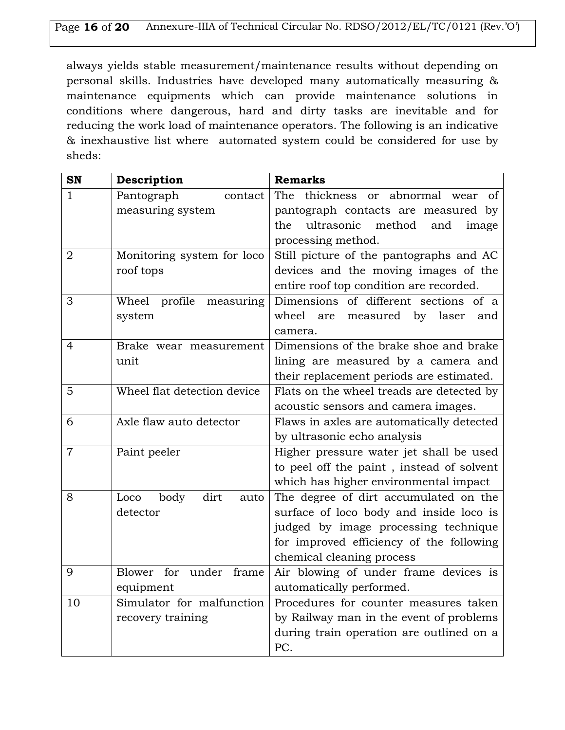| Page 16 of 20   Annexure-IIIA of Technical Circular No. RDSO/2012/EL/TC/0121 (Rev.'O') |
|----------------------------------------------------------------------------------------|
|                                                                                        |

always yields stable measurement/maintenance results without depending on personal skills. Industries have developed many automatically measuring & maintenance equipments which can provide maintenance solutions in conditions where dangerous, hard and dirty tasks are inevitable and for reducing the work load of maintenance operators. The following is an indicative & inexhaustive list where automated system could be considered for use by sheds:

| <b>SN</b>      | Description                         | <b>Remarks</b>                                |
|----------------|-------------------------------------|-----------------------------------------------|
| 1              | Pantograph<br>contact               | thickness<br>abnormal wear<br>The<br>οf<br>or |
|                | measuring system                    | pantograph contacts are measured by           |
|                |                                     | ultrasonic<br>method<br>and<br>the<br>image   |
|                |                                     | processing method.                            |
| $\overline{2}$ | Monitoring system for loco          | Still picture of the pantographs and AC       |
|                | roof tops                           | devices and the moving images of the          |
|                |                                     | entire roof top condition are recorded.       |
| 3              | Wheel profile measuring             | Dimensions of different sections of a         |
|                | system                              | wheel<br>measured by laser<br>are<br>and      |
|                |                                     | camera.                                       |
| $\overline{4}$ | Brake wear measurement              | Dimensions of the brake shoe and brake        |
|                | unit                                | lining are measured by a camera and           |
|                |                                     | their replacement periods are estimated.      |
| 5              | Wheel flat detection device         | Flats on the wheel treads are detected by     |
|                |                                     | acoustic sensors and camera images.           |
| 6              | Axle flaw auto detector             | Flaws in axles are automatically detected     |
|                |                                     | by ultrasonic echo analysis                   |
| $\overline{7}$ | Paint peeler                        | Higher pressure water jet shall be used       |
|                |                                     | to peel off the paint, instead of solvent     |
|                |                                     | which has higher environmental impact         |
| 8              | dirt<br>Loco<br>body<br>auto        | The degree of dirt accumulated on the         |
|                | detector                            | surface of loco body and inside loco is       |
|                |                                     | judged by image processing technique          |
|                |                                     | for improved efficiency of the following      |
|                |                                     | chemical cleaning process                     |
| 9              | under frame<br><b>Blower</b><br>for | Air blowing of under frame devices is         |
|                | equipment                           | automatically performed.                      |
| 10             | Simulator for malfunction           | Procedures for counter measures taken         |
|                | recovery training                   | by Railway man in the event of problems       |
|                |                                     | during train operation are outlined on a      |
|                |                                     | PC.                                           |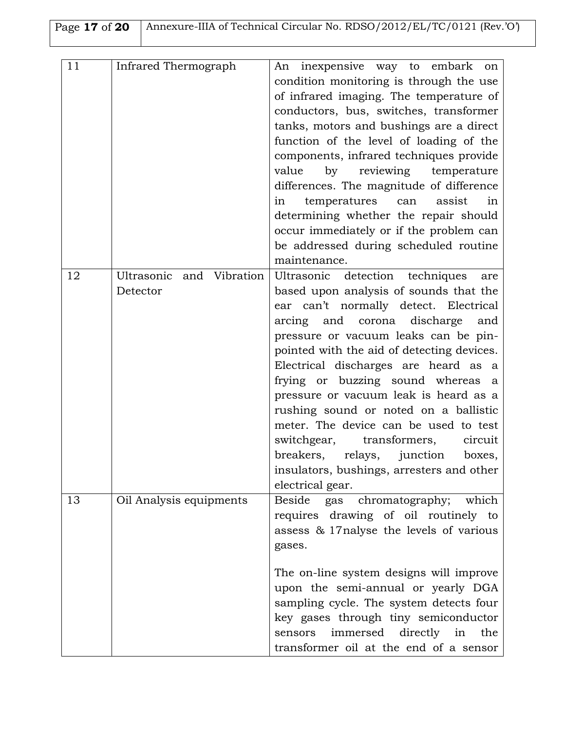| Page 17 of 20   Annexure-IIIA of Technical Circular No. RDSO/2012/EL/TC/0121 (Rev.'O') |
|----------------------------------------------------------------------------------------|
|                                                                                        |

| 11 | Infrared Thermograph     | An inexpensive way to embark<br>on         |
|----|--------------------------|--------------------------------------------|
|    |                          | condition monitoring is through the use    |
|    |                          | of infrared imaging. The temperature of    |
|    |                          | conductors, bus, switches, transformer     |
|    |                          | tanks, motors and bushings are a direct    |
|    |                          | function of the level of loading of the    |
|    |                          | components, infrared techniques provide    |
|    |                          | by reviewing temperature<br>value          |
|    |                          | differences. The magnitude of difference   |
|    |                          | temperatures<br>assist<br>can<br>in<br>in  |
|    |                          | determining whether the repair should      |
|    |                          | occur immediately or if the problem can    |
|    |                          | be addressed during scheduled routine      |
|    |                          | maintenance.                               |
| 12 | Ultrasonic and Vibration | Ultrasonic detection techniques<br>are     |
|    | Detector                 | based upon analysis of sounds that the     |
|    |                          | ear can't normally detect. Electrical      |
|    |                          | arcing and corona discharge<br>and         |
|    |                          | pressure or vacuum leaks can be pin-       |
|    |                          | pointed with the aid of detecting devices. |
|    |                          | Electrical discharges are heard as a       |
|    |                          | frying or buzzing sound whereas a          |
|    |                          |                                            |
|    |                          | pressure or vacuum leak is heard as a      |
|    |                          | rushing sound or noted on a ballistic      |
|    |                          | meter. The device can be used to test      |
|    |                          | switchgear, transformers,<br>circuit       |
|    |                          | breakers,<br>relays,<br>junction<br>boxes, |
|    |                          | insulators, bushings, arresters and other  |
|    |                          | electrical gear.                           |
| 13 | Oil Analysis equipments  | Beside<br>gas chromatography;<br>which     |
|    |                          | requires drawing of oil routinely to       |
|    |                          | assess & 17 nalyse the levels of various   |
|    |                          | gases.                                     |
|    |                          |                                            |
|    |                          | The on-line system designs will improve    |
|    |                          | upon the semi-annual or yearly DGA         |
|    |                          | sampling cycle. The system detects four    |
|    |                          | key gases through tiny semiconductor       |
|    |                          | immersed directly in<br>sensors<br>the     |
|    |                          | transformer oil at the end of a sensor     |
|    |                          |                                            |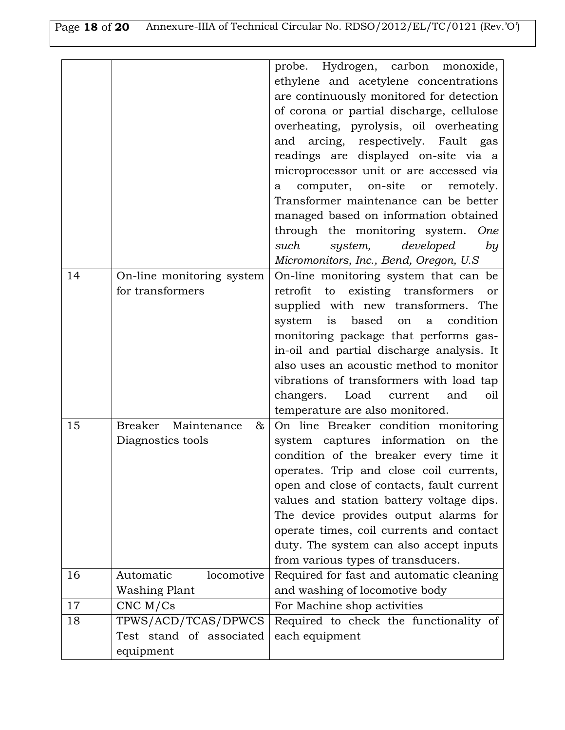| Page 18 of 20   Annexure-IIIA of Technical Circular No. RDSO/2012/EL/TC/0121 (Rev.'O') |
|----------------------------------------------------------------------------------------|
|                                                                                        |

|    |                           | probe. Hydrogen, carbon monoxide,                     |
|----|---------------------------|-------------------------------------------------------|
|    |                           | ethylene and acetylene concentrations                 |
|    |                           | are continuously monitored for detection              |
|    |                           | of corona or partial discharge, cellulose             |
|    |                           | overheating, pyrolysis, oil overheating               |
|    |                           | and arcing, respectively. Fault gas                   |
|    |                           | readings are displayed on-site via a                  |
|    |                           | microprocessor unit or are accessed via               |
|    |                           | computer, on-site or<br>remotely.<br>a                |
|    |                           | Transformer maintenance can be better                 |
|    |                           | managed based on information obtained                 |
|    |                           | through the monitoring system. One                    |
|    |                           | such<br>developed<br>system,<br>by                    |
|    |                           | Micromonitors, Inc., Bend, Oregon, U.S.               |
| 14 | On-line monitoring system | On-line monitoring system that can be                 |
|    | for transformers          | to existing transformers<br>retrofit<br><sub>or</sub> |
|    |                           | supplied with new transformers. The                   |
|    |                           | based<br>system<br>is<br>on a condition               |
|    |                           | monitoring package that performs gas-                 |
|    |                           | in-oil and partial discharge analysis. It             |
|    |                           | also uses an acoustic method to monitor               |
|    |                           | vibrations of transformers with load tap              |
|    |                           | changers. Load current<br>and<br>oil                  |
|    |                           | temperature are also monitored.                       |
| 15 | Breaker Maintenance<br>&  | On line Breaker condition monitoring                  |
|    | Diagnostics tools         | system captures information on<br>the                 |
|    |                           | condition of the breaker every time it                |
|    |                           | operates. Trip and close coil currents,               |
|    |                           | open and close of contacts, fault current             |
|    |                           | values and station battery voltage dips.              |
|    |                           | The device provides output alarms for                 |
|    |                           | operate times, coil currents and contact              |
|    |                           | duty. The system can also accept inputs               |
|    |                           | from various types of transducers.                    |
| 16 | Automatic<br>locomotive   | Required for fast and automatic cleaning              |
|    | <b>Washing Plant</b>      | and washing of locomotive body                        |
| 17 | $CNC$ M/ $Cs$             | For Machine shop activities                           |
| 18 | TPWS/ACD/TCAS/DPWCS       | Required to check the functionality of                |
|    | Test stand of associated  | each equipment                                        |
|    | equipment                 |                                                       |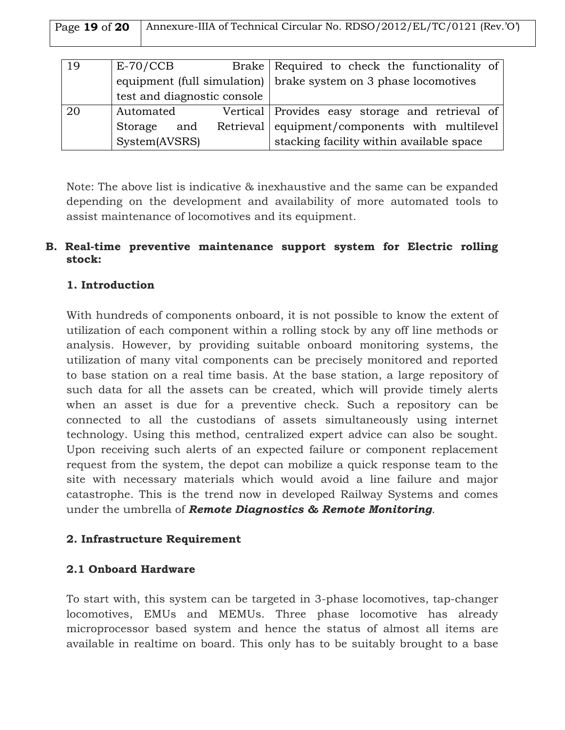| Page 19 of 20 Annexure-IIIA of Technical Circular No. RDSO/2012/EL/TC/0121 (Rev.'O') |
|--------------------------------------------------------------------------------------|
|                                                                                      |

| 19 | $E-70/CCB$                  | Brake Required to check the functionality of                            |
|----|-----------------------------|-------------------------------------------------------------------------|
|    |                             | equipment (full simulation) $\vert$ brake system on 3 phase locomotives |
|    | test and diagnostic console |                                                                         |
| 20 | Automated                   | Vertical Provides easy storage and retrieval of                         |
|    | and<br>Storage              | Retrieval equipment/components with multilevel                          |
|    | System(AVSRS)               | stacking facility within available space                                |

Note: The above list is indicative & inexhaustive and the same can be expanded depending on the development and availability of more automated tools to assist maintenance of locomotives and its equipment.

### **B. Real-time preventive maintenance support system for Electric rolling stock:**

### **1. Introduction**

With hundreds of components onboard, it is not possible to know the extent of utilization of each component within a rolling stock by any off line methods or analysis. However, by providing suitable onboard monitoring systems, the utilization of many vital components can be precisely monitored and reported to base station on a real time basis. At the base station, a large repository of such data for all the assets can be created, which will provide timely alerts when an asset is due for a preventive check. Such a repository can be connected to all the custodians of assets simultaneously using internet technology. Using this method, centralized expert advice can also be sought. Upon receiving such alerts of an expected failure or component replacement request from the system, the depot can mobilize a quick response team to the site with necessary materials which would avoid a line failure and major catastrophe. This is the trend now in developed Railway Systems and comes under the umbrella of *Remote Diagnostics & Remote Monitoring*.

#### **2. Infrastructure Requirement**

### **2.1 Onboard Hardware**

To start with, this system can be targeted in 3-phase locomotives, tap-changer locomotives, EMUs and MEMUs. Three phase locomotive has already microprocessor based system and hence the status of almost all items are available in realtime on board. This only has to be suitably brought to a base